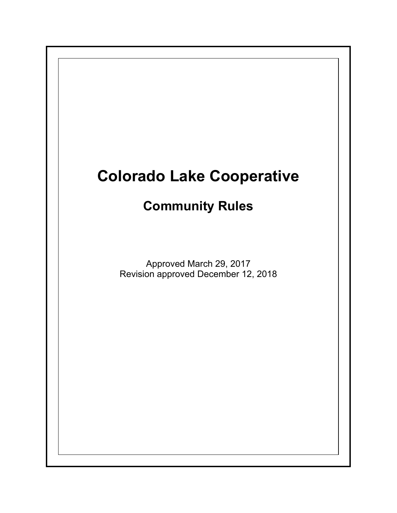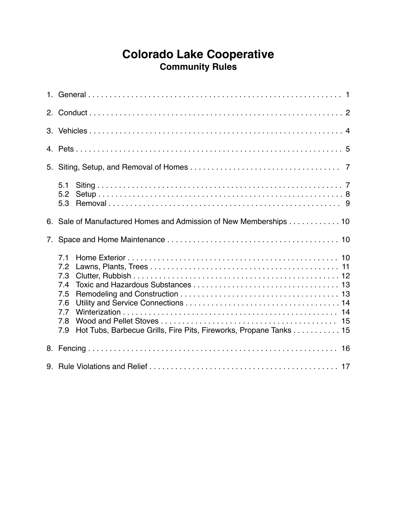# **Colorado Lake Cooperative Community Rules**

| 2. |                                                                                                                                  |
|----|----------------------------------------------------------------------------------------------------------------------------------|
|    |                                                                                                                                  |
|    |                                                                                                                                  |
| 5. |                                                                                                                                  |
|    | 5.1<br>5.2<br>5.3                                                                                                                |
| 6. | Sale of Manufactured Homes and Admission of New Memberships 10                                                                   |
| 7. |                                                                                                                                  |
|    |                                                                                                                                  |
|    | 7.1<br>7.2<br>7.3<br>7.4<br>7.5<br>7.6<br>7.7<br>7.8<br>Hot Tubs, Barbecue Grills, Fire Pits, Fireworks, Propane Tanks 15<br>7.9 |
|    |                                                                                                                                  |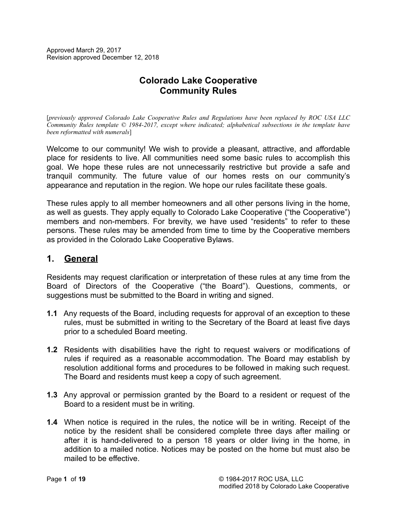Approved March 29, 2017 Revision approved December 12, 2018

# **Colorado Lake Cooperative Community Rules**

[*previously approved Colorado Lake Cooperative Rules and Regulations have been replaced by ROC USA LLC Community Rules template © 1984-2017, except where indicated; alphabetical subsections in the template have been reformatted with numerals*]

Welcome to our community! We wish to provide a pleasant, attractive, and affordable place for residents to live. All communities need some basic rules to accomplish this goal. We hope these rules are not unnecessarily restrictive but provide a safe and tranquil community. The future value of our homes rests on our community's appearance and reputation in the region. We hope our rules facilitate these goals.

These rules apply to all member homeowners and all other persons living in the home, as well as guests. They apply equally to Colorado Lake Cooperative ("the Cooperative") members and non-members. For brevity, we have used "residents" to refer to these persons. These rules may be amended from time to time by the Cooperative members as provided in the Colorado Lake Cooperative Bylaws.

### **1. General**

Residents may request clarification or interpretation of these rules at any time from the Board of Directors of the Cooperative ("the Board"). Questions, comments, or suggestions must be submitted to the Board in writing and signed.

- **1.1** Any requests of the Board, including requests for approval of an exception to these rules, must be submitted in writing to the Secretary of the Board at least five days prior to a scheduled Board meeting.
- **1.2** Residents with disabilities have the right to request waivers or modifications of rules if required as a reasonable accommodation. The Board may establish by resolution additional forms and procedures to be followed in making such request. The Board and residents must keep a copy of such agreement.
- **1.3** Any approval or permission granted by the Board to a resident or request of the Board to a resident must be in writing.
- **1.4** When notice is required in the rules, the notice will be in writing. Receipt of the notice by the resident shall be considered complete three days after mailing or after it is hand-delivered to a person 18 years or older living in the home, in addition to a mailed notice. Notices may be posted on the home but must also be mailed to be effective.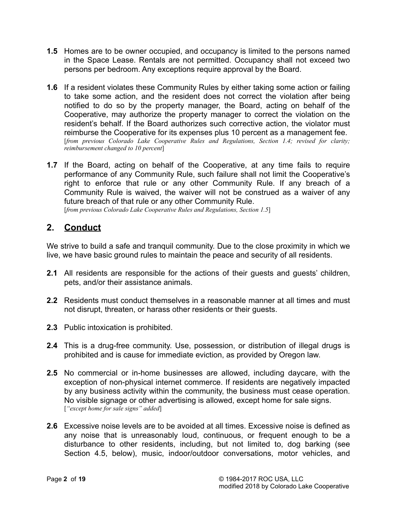- **1.5** Homes are to be owner occupied, and occupancy is limited to the persons named in the Space Lease. Rentals are not permitted. Occupancy shall not exceed two persons per bedroom. Any exceptions require approval by the Board.
- **1.6** If a resident violates these Community Rules by either taking some action or failing to take some action, and the resident does not correct the violation after being notified to do so by the property manager, the Board, acting on behalf of the Cooperative, may authorize the property manager to correct the violation on the resident's behalf. If the Board authorizes such corrective action, the violator must reimburse the Cooperative for its expenses plus 10 percent as a management fee. [*from previous Colorado Lake Cooperative Rules and Regulations, Section 1.4; revised for clarity; reimbursement changed to 10 percent*]
- **1.7** If the Board, acting on behalf of the Cooperative, at any time fails to require performance of any Community Rule, such failure shall not limit the Cooperative's right to enforce that rule or any other Community Rule. If any breach of a Community Rule is waived, the waiver will not be construed as a waiver of any future breach of that rule or any other Community Rule. [*from previous Colorado Lake Cooperative Rules and Regulations, Section 1.5*]

### **2. Conduct**

We strive to build a safe and tranquil community. Due to the close proximity in which we live, we have basic ground rules to maintain the peace and security of all residents.

- **2.1** All residents are responsible for the actions of their guests and guests' children, pets, and/or their assistance animals.
- **2.2** Residents must conduct themselves in a reasonable manner at all times and must not disrupt, threaten, or harass other residents or their guests.
- **2.3** Public intoxication is prohibited.
- **2.4** This is a drug-free community. Use, possession, or distribution of illegal drugs is prohibited and is cause for immediate eviction, as provided by Oregon law.
- **2.5** No commercial or in-home businesses are allowed, including daycare, with the exception of non-physical internet commerce. If residents are negatively impacted by any business activity within the community, the business must cease operation. No visible signage or other advertising is allowed, except home for sale signs. [*"except home for sale signs" added*]
- **2.6** Excessive noise levels are to be avoided at all times. Excessive noise is defined as any noise that is unreasonably loud, continuous, or frequent enough to be a disturbance to other residents, including, but not limited to, dog barking (see Section 4.5, below), music, indoor/outdoor conversations, motor vehicles, and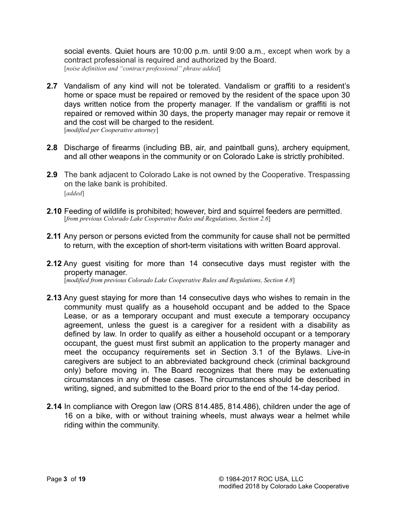social events. Quiet hours are 10:00 p.m. until 9:00 a.m., except when work by a contract professional is required and authorized by the Board. [*noise definition and "contract professional" phrase added*]

- **2.7** Vandalism of any kind will not be tolerated. Vandalism or graffiti to a resident's home or space must be repaired or removed by the resident of the space upon 30 days written notice from the property manager. If the vandalism or graffiti is not repaired or removed within 30 days, the property manager may repair or remove it and the cost will be charged to the resident. [*modified per Cooperative attorney*]
- **2.8** Discharge of firearms (including BB, air, and paintball guns), archery equipment, and all other weapons in the community or on Colorado Lake is strictly prohibited.
- **2.9** The bank adjacent to Colorado Lake is not owned by the Cooperative. Trespassing on the lake bank is prohibited. [*added*]
- **2.10** Feeding of wildlife is prohibited; however, bird and squirrel feeders are permitted. [*from previous Colorado Lake Cooperative Rules and Regulations, Section 2.6*]
- **2.11** Any person or persons evicted from the community for cause shall not be permitted to return, with the exception of short-term visitations with written Board approval.
- **2.12** Any guest visiting for more than 14 consecutive days must register with the property manager. [*modified from previous Colorado Lake Cooperative Rules and Regulations, Section 4.8*]
- **2.13** Any guest staying for more than 14 consecutive days who wishes to remain in the community must qualify as a household occupant and be added to the Space Lease, or as a temporary occupant and must execute a temporary occupancy agreement, unless the guest is a caregiver for a resident with a disability as defined by law. In order to qualify as either a household occupant or a temporary occupant, the guest must first submit an application to the property manager and meet the occupancy requirements set in Section 3.1 of the Bylaws. Live-in caregivers are subject to an abbreviated background check (criminal background only) before moving in. The Board recognizes that there may be extenuating circumstances in any of these cases. The circumstances should be described in writing, signed, and submitted to the Board prior to the end of the 14-day period.
- **2.14** In compliance with Oregon law (ORS 814.485, 814.486), children under the age of 16 on a bike, with or without training wheels, must always wear a helmet while riding within the community.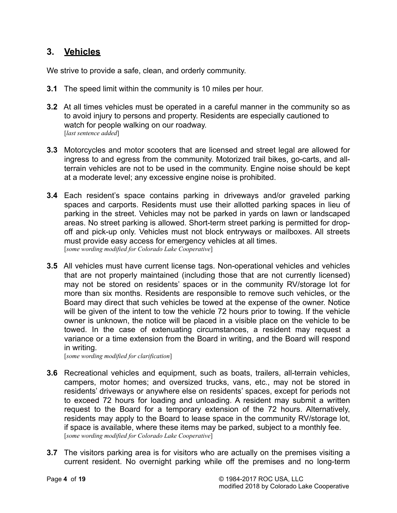### **3. Vehicles**

We strive to provide a safe, clean, and orderly community.

- **3.1** The speed limit within the community is 10 miles per hour.
- **3.2** At all times vehicles must be operated in a careful manner in the community so as to avoid injury to persons and property. Residents are especially cautioned to watch for people walking on our roadway. [*last sentence added*]
- **3.3** Motorcycles and motor scooters that are licensed and street legal are allowed for ingress to and egress from the community. Motorized trail bikes, go-carts, and allterrain vehicles are not to be used in the community. Engine noise should be kept at a moderate level; any excessive engine noise is prohibited.
- **3.4** Each resident's space contains parking in driveways and/or graveled parking spaces and carports. Residents must use their allotted parking spaces in lieu of parking in the street. Vehicles may not be parked in yards on lawn or landscaped areas. No street parking is allowed. Short-term street parking is permitted for dropoff and pick-up only. Vehicles must not block entryways or mailboxes. All streets must provide easy access for emergency vehicles at all times. [*some wording modified for Colorado Lake Cooperative*]
- **3.5** All vehicles must have current license tags. Non-operational vehicles and vehicles that are not properly maintained (including those that are not currently licensed) may not be stored on residents' spaces or in the community RV/storage lot for more than six months. Residents are responsible to remove such vehicles, or the Board may direct that such vehicles be towed at the expense of the owner. Notice will be given of the intent to tow the vehicle 72 hours prior to towing. If the vehicle owner is unknown, the notice will be placed in a visible place on the vehicle to be towed. In the case of extenuating circumstances, a resident may request a variance or a time extension from the Board in writing, and the Board will respond in writing.

[*some wording modified for clarification*]

- **3.6** Recreational vehicles and equipment, such as boats, trailers, all-terrain vehicles, campers, motor homes; and oversized trucks, vans, etc., may not be stored in residents' driveways or anywhere else on residents' spaces, except for periods not to exceed 72 hours for loading and unloading. A resident may submit a written request to the Board for a temporary extension of the 72 hours. Alternatively, residents may apply to the Board to lease space in the community RV/storage lot, if space is available, where these items may be parked, subject to a monthly fee. [*some wording modified for Colorado Lake Cooperative*]
- **3.7** The visitors parking area is for visitors who are actually on the premises visiting a current resident. No overnight parking while off the premises and no long-term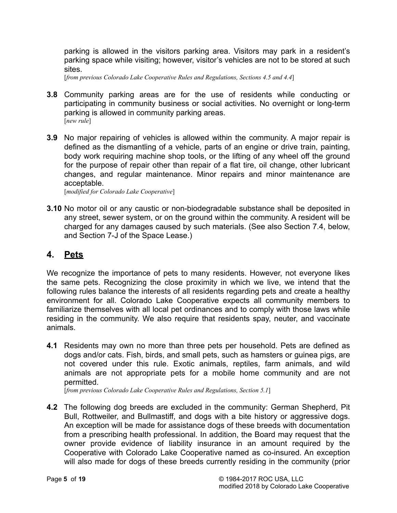parking is allowed in the visitors parking area. Visitors may park in a resident's parking space while visiting; however, visitor's vehicles are not to be stored at such sites.

[*from previous Colorado Lake Cooperative Rules and Regulations, Sections 4.5 and 4.4*]

- **3.8** Community parking areas are for the use of residents while conducting or participating in community business or social activities. No overnight or long-term parking is allowed in community parking areas. [*new rule*]
- **3.9** No major repairing of vehicles is allowed within the community. A major repair is defined as the dismantling of a vehicle, parts of an engine or drive train, painting, body work requiring machine shop tools, or the lifting of any wheel off the ground for the purpose of repair other than repair of a flat tire, oil change, other lubricant changes, and regular maintenance. Minor repairs and minor maintenance are acceptable.

[*modified for Colorado Lake Cooperative*]

**3.10** No motor oil or any caustic or non-biodegradable substance shall be deposited in any street, sewer system, or on the ground within the community. A resident will be charged for any damages caused by such materials. (See also Section 7.4, below, and Section 7-J of the Space Lease.)

### **4. Pets**

We recognize the importance of pets to many residents. However, not everyone likes the same pets. Recognizing the close proximity in which we live, we intend that the following rules balance the interests of all residents regarding pets and create a healthy environment for all. Colorado Lake Cooperative expects all community members to familiarize themselves with all local pet ordinances and to comply with those laws while residing in the community. We also require that residents spay, neuter, and vaccinate animals.

**4.1** Residents may own no more than three pets per household. Pets are defined as dogs and/or cats. Fish, birds, and small pets, such as hamsters or guinea pigs, are not covered under this rule. Exotic animals, reptiles, farm animals, and wild animals are not appropriate pets for a mobile home community and are not permitted.

[*from previous Colorado Lake Cooperative Rules and Regulations, Section 5.1*]

**4.2** The following dog breeds are excluded in the community: German Shepherd, Pit Bull, Rottweiler, and Bullmastiff, and dogs with a bite history or aggressive dogs. An exception will be made for assistance dogs of these breeds with documentation from a prescribing health professional. In addition, the Board may request that the owner provide evidence of liability insurance in an amount required by the Cooperative with Colorado Lake Cooperative named as co-insured. An exception will also made for dogs of these breeds currently residing in the community (prior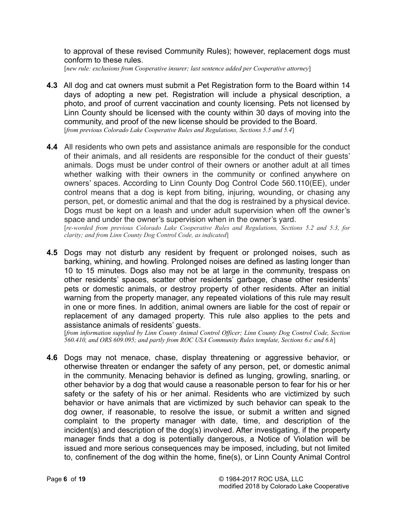to approval of these revised Community Rules); however, replacement dogs must conform to these rules.

[*new rule: exclusions from Cooperative insurer; last sentence added per Cooperative attorney*]

- **4.3** All dog and cat owners must submit a Pet Registration form to the Board within 14 days of adopting a new pet. Registration will include a physical description, a photo, and proof of current vaccination and county licensing. Pets not licensed by Linn County should be licensed with the county within 30 days of moving into the community, and proof of the new license should be provided to the Board. [*from previous Colorado Lake Cooperative Rules and Regulations, Sections 5.5 and 5.4*]
- **4.4** All residents who own pets and assistance animals are responsible for the conduct of their animals, and all residents are responsible for the conduct of their guests' animals. Dogs must be under control of their owners or another adult at all times whether walking with their owners in the community or confined anywhere on owners' spaces. According to Linn County Dog Control Code 560.110(EE), under control means that a dog is kept from biting, injuring, wounding, or chasing any person, pet, or domestic animal and that the dog is restrained by a physical device. Dogs must be kept on a leash and under adult supervision when off the owner's space and under the owner's supervision when in the owner's yard.

 [*re-worded from previous Colorado Lake Cooperative Rules and Regulations, Sections 5.2 and 5.3, for clarity; and from Linn County Dog Control Code, as indicated*]

**4.5** Dogs may not disturb any resident by frequent or prolonged noises, such as barking, whining, and howling. Prolonged noises are defined as lasting longer than 10 to 15 minutes. Dogs also may not be at large in the community, trespass on other residents' spaces, scatter other residents' garbage, chase other residents' pets or domestic animals, or destroy property of other residents. After an initial warning from the property manager, any repeated violations of this rule may result in one or more fines. In addition, animal owners are liable for the cost of repair or replacement of any damaged property. This rule also applies to the pets and assistance animals of residents' guests.

 [*from information supplied by Linn County Animal Control Officer; Linn County Dog Control Code, Section 560.410, and ORS 609.095; and partly from ROC USA Community Rules template, Sections 6.c and 6.h*]

**4.6** Dogs may not menace, chase, display threatening or aggressive behavior, or otherwise threaten or endanger the safety of any person, pet, or domestic animal in the community. Menacing behavior is defined as lunging, growling, snarling, or other behavior by a dog that would cause a reasonable person to fear for his or her safety or the safety of his or her animal. Residents who are victimized by such behavior or have animals that are victimized by such behavior can speak to the dog owner, if reasonable, to resolve the issue, or submit a written and signed complaint to the property manager with date, time, and description of the incident(s) and description of the dog(s) involved. After investigating, if the property manager finds that a dog is potentially dangerous, a Notice of Violation will be issued and more serious consequences may be imposed, including, but not limited to, confinement of the dog within the home, fine(s), or Linn County Animal Control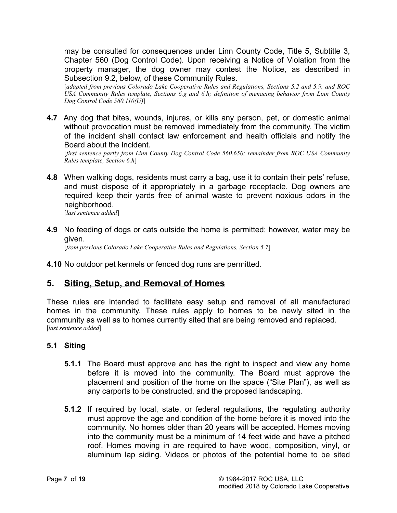may be consulted for consequences under Linn County Code, Title 5, Subtitle 3, Chapter 560 (Dog Control Code). Upon receiving a Notice of Violation from the property manager, the dog owner may contest the Notice, as described in Subsection 9.2, below, of these Community Rules.

 [*adapted from previous Colorado Lake Cooperative Rules and Regulations, Sections 5.2 and 5.9, and ROC USA Community Rules template, Sections 6.g and 6.h; definition of menacing behavior from Linn County Dog Control Code 560.110(U)*]

**4.7** Any dog that bites, wounds, injures, or kills any person, pet, or domestic animal without provocation must be removed immediately from the community. The victim of the incident shall contact law enforcement and health officials and notify the Board about the incident.

 [*first sentence partly from Linn County Dog Control Code 560.650; remainder from ROC USA Community Rules template, Section 6.h*]

**4.8** When walking dogs, residents must carry a bag, use it to contain their pets' refuse, and must dispose of it appropriately in a garbage receptacle. Dog owners are required keep their yards free of animal waste to prevent noxious odors in the neighborhood.

[*last sentence added*]

- **4.9** No feeding of dogs or cats outside the home is permitted; however, water may be given. [*from previous Colorado Lake Cooperative Rules and Regulations, Section 5.7*]
- **4.10** No outdoor pet kennels or fenced dog runs are permitted.

# **5. Siting, Setup, and Removal of Homes**

These rules are intended to facilitate easy setup and removal of all manufactured homes in the community. These rules apply to homes to be newly sited in the community as well as to homes currently sited that are being removed and replaced. [*last sentence added*]

#### **5.1 Siting**

- **5.1.1** The Board must approve and has the right to inspect and view any home before it is moved into the community. The Board must approve the placement and position of the home on the space ("Site Plan"), as well as any carports to be constructed, and the proposed landscaping.
- **5.1.2** If required by local, state, or federal regulations, the regulating authority must approve the age and condition of the home before it is moved into the community. No homes older than 20 years will be accepted. Homes moving into the community must be a minimum of 14 feet wide and have a pitched roof. Homes moving in are required to have wood, composition, vinyl, or aluminum lap siding. Videos or photos of the potential home to be sited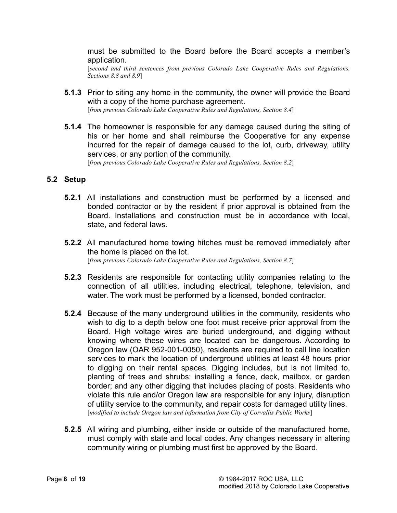must be submitted to the Board before the Board accepts a member's application.

 [*second and third sentences from previous Colorado Lake Cooperative Rules and Regulations, Sections 8.8 and 8.9*]

- **5.1.3** Prior to siting any home in the community, the owner will provide the Board with a copy of the home purchase agreement. [*from previous Colorado Lake Cooperative Rules and Regulations, Section 8.4*]
- **5.1.4** The homeowner is responsible for any damage caused during the siting of his or her home and shall reimburse the Cooperative for any expense incurred for the repair of damage caused to the lot, curb, driveway, utility services, or any portion of the community.

[*from previous Colorado Lake Cooperative Rules and Regulations, Section 8.2*]

#### **5.2 Setup**

- **5.2.1** All installations and construction must be performed by a licensed and bonded contractor or by the resident if prior approval is obtained from the Board. Installations and construction must be in accordance with local, state, and federal laws.
- **5.2.2** All manufactured home towing hitches must be removed immediately after the home is placed on the lot. [*from previous Colorado Lake Cooperative Rules and Regulations, Section 8.7*]
- **5.2.3** Residents are responsible for contacting utility companies relating to the connection of all utilities, including electrical, telephone, television, and water. The work must be performed by a licensed, bonded contractor.
- **5.2.4** Because of the many underground utilities in the community, residents who wish to dig to a depth below one foot must receive prior approval from the Board. High voltage wires are buried underground, and digging without knowing where these wires are located can be dangerous. According to Oregon law (OAR 952-001-0050), residents are required to call line location services to mark the location of underground utilities at least 48 hours prior to digging on their rental spaces. Digging includes, but is not limited to, planting of trees and shrubs; installing a fence, deck, mailbox, or garden border; and any other digging that includes placing of posts. Residents who violate this rule and/or Oregon law are responsible for any injury, disruption of utility service to the community, and repair costs for damaged utility lines. [*modified to include Oregon law and information from City of Corvallis Public Works*]
- **5.2.5** All wiring and plumbing, either inside or outside of the manufactured home, must comply with state and local codes. Any changes necessary in altering community wiring or plumbing must first be approved by the Board.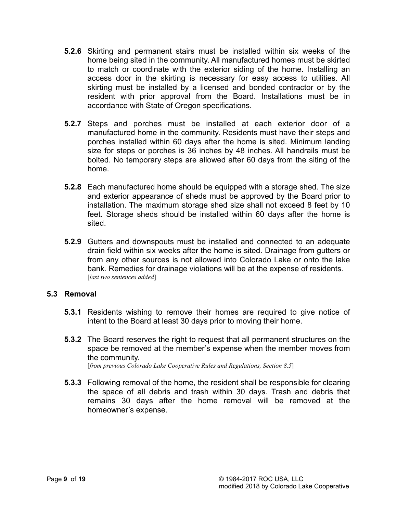- **5.2.6** Skirting and permanent stairs must be installed within six weeks of the home being sited in the community. All manufactured homes must be skirted to match or coordinate with the exterior siding of the home. Installing an access door in the skirting is necessary for easy access to utilities. All skirting must be installed by a licensed and bonded contractor or by the resident with prior approval from the Board. Installations must be in accordance with State of Oregon specifications.
- **5.2.7** Steps and porches must be installed at each exterior door of a manufactured home in the community. Residents must have their steps and porches installed within 60 days after the home is sited. Minimum landing size for steps or porches is 36 inches by 48 inches. All handrails must be bolted. No temporary steps are allowed after 60 days from the siting of the home.
- **5.2.8** Each manufactured home should be equipped with a storage shed. The size and exterior appearance of sheds must be approved by the Board prior to installation. The maximum storage shed size shall not exceed 8 feet by 10 feet. Storage sheds should be installed within 60 days after the home is sited.
- **5.2.9** Gutters and downspouts must be installed and connected to an adequate drain field within six weeks after the home is sited. Drainage from gutters or from any other sources is not allowed into Colorado Lake or onto the lake bank. Remedies for drainage violations will be at the expense of residents. [*last two sentences added*]

#### **5.3 Removal**

- **5.3.1** Residents wishing to remove their homes are required to give notice of intent to the Board at least 30 days prior to moving their home.
- **5.3.2** The Board reserves the right to request that all permanent structures on the space be removed at the member's expense when the member moves from the community. [*from previous Colorado Lake Cooperative Rules and Regulations, Section 8.5*]

**5.3.3** Following removal of the home, the resident shall be responsible for clearing the space of all debris and trash within 30 days. Trash and debris that remains 30 days after the home removal will be removed at the homeowner's expense.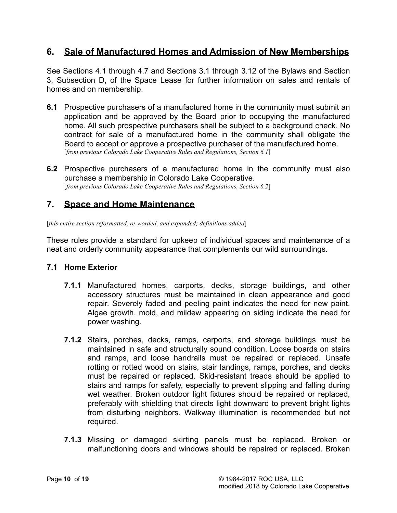# **6. Sale of Manufactured Homes and Admission of New Memberships**

See Sections 4.1 through 4.7 and Sections 3.1 through 3.12 of the Bylaws and Section 3, Subsection D, of the Space Lease for further information on sales and rentals of homes and on membership.

- **6.1** Prospective purchasers of a manufactured home in the community must submit an application and be approved by the Board prior to occupying the manufactured home. All such prospective purchasers shall be subject to a background check. No contract for sale of a manufactured home in the community shall obligate the Board to accept or approve a prospective purchaser of the manufactured home. [*from previous Colorado Lake Cooperative Rules and Regulations, Section 6.1*]
- **6.2** Prospective purchasers of a manufactured home in the community must also purchase a membership in Colorado Lake Cooperative. [*from previous Colorado Lake Cooperative Rules and Regulations, Section 6.2*]

### **7. Space and Home Maintenance**

[*this entire section reformatted, re-worded, and expanded; definitions added*]

These rules provide a standard for upkeep of individual spaces and maintenance of a neat and orderly community appearance that complements our wild surroundings.

#### **7.1 Home Exterior**

- **7.1.1** Manufactured homes, carports, decks, storage buildings, and other accessory structures must be maintained in clean appearance and good repair. Severely faded and peeling paint indicates the need for new paint. Algae growth, mold, and mildew appearing on siding indicate the need for power washing.
- **7.1.2** Stairs, porches, decks, ramps, carports, and storage buildings must be maintained in safe and structurally sound condition. Loose boards on stairs and ramps, and loose handrails must be repaired or replaced. Unsafe rotting or rotted wood on stairs, stair landings, ramps, porches, and decks must be repaired or replaced. Skid-resistant treads should be applied to stairs and ramps for safety, especially to prevent slipping and falling during wet weather. Broken outdoor light fixtures should be repaired or replaced, preferably with shielding that directs light downward to prevent bright lights from disturbing neighbors. Walkway illumination is recommended but not required.
- **7.1.3** Missing or damaged skirting panels must be replaced. Broken or malfunctioning doors and windows should be repaired or replaced. Broken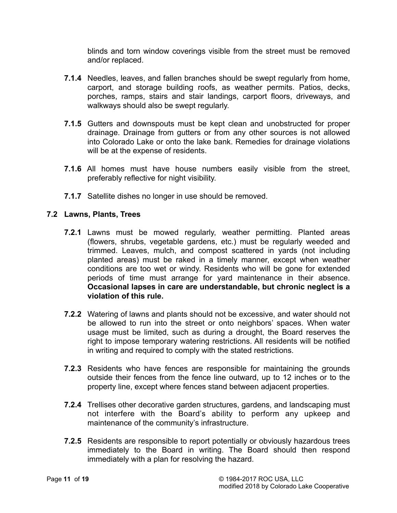blinds and torn window coverings visible from the street must be removed and/or replaced.

- **7.1.4** Needles, leaves, and fallen branches should be swept regularly from home, carport, and storage building roofs, as weather permits. Patios, decks, porches, ramps, stairs and stair landings, carport floors, driveways, and walkways should also be swept regularly.
- **7.1.5** Gutters and downspouts must be kept clean and unobstructed for proper drainage. Drainage from gutters or from any other sources is not allowed into Colorado Lake or onto the lake bank. Remedies for drainage violations will be at the expense of residents.
- **7.1.6** All homes must have house numbers easily visible from the street, preferably reflective for night visibility.
- **7.1.7** Satellite dishes no longer in use should be removed.

#### **7.2 Lawns, Plants, Trees**

- **7.2.1** Lawns must be mowed regularly, weather permitting. Planted areas (flowers, shrubs, vegetable gardens, etc.) must be regularly weeded and trimmed. Leaves, mulch, and compost scattered in yards (not including planted areas) must be raked in a timely manner, except when weather conditions are too wet or windy. Residents who will be gone for extended periods of time must arrange for yard maintenance in their absence. **Occasional lapses in care are understandable, but chronic neglect is a violation of this rule.**
- **7.2.2** Watering of lawns and plants should not be excessive, and water should not be allowed to run into the street or onto neighbors' spaces. When water usage must be limited, such as during a drought, the Board reserves the right to impose temporary watering restrictions. All residents will be notified in writing and required to comply with the stated restrictions.
- **7.2.3** Residents who have fences are responsible for maintaining the grounds outside their fences from the fence line outward, up to 12 inches or to the property line, except where fences stand between adjacent properties.
- **7.2.4** Trellises other decorative garden structures, gardens, and landscaping must not interfere with the Board's ability to perform any upkeep and maintenance of the community's infrastructure.
- **7.2.5** Residents are responsible to report potentially or obviously hazardous trees immediately to the Board in writing. The Board should then respond immediately with a plan for resolving the hazard.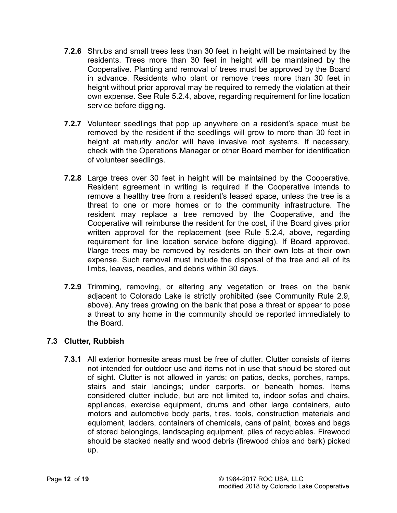- **7.2.6** Shrubs and small trees less than 30 feet in height will be maintained by the residents. Trees more than 30 feet in height will be maintained by the Cooperative. Planting and removal of trees must be approved by the Board in advance. Residents who plant or remove trees more than 30 feet in height without prior approval may be required to remedy the violation at their own expense. See Rule 5.2.4, above, regarding requirement for line location service before digging.
- **7.2.7** Volunteer seedlings that pop up anywhere on a resident's space must be removed by the resident if the seedlings will grow to more than 30 feet in height at maturity and/or will have invasive root systems. If necessary, check with the Operations Manager or other Board member for identification of volunteer seedlings.
- **7.2.8** Large trees over 30 feet in height will be maintained by the Cooperative. Resident agreement in writing is required if the Cooperative intends to remove a healthy tree from a resident's leased space, unless the tree is a threat to one or more homes or to the community infrastructure. The resident may replace a tree removed by the Cooperative, and the Cooperative will reimburse the resident for the cost, if the Board gives prior written approval for the replacement (see Rule 5.2.4, above, regarding requirement for line location service before digging). If Board approved, l/large trees may be removed by residents on their own lots at their own expense. Such removal must include the disposal of the tree and all of its limbs, leaves, needles, and debris within 30 days.
- **7.2.9** Trimming, removing, or altering any vegetation or trees on the bank adjacent to Colorado Lake is strictly prohibited (see Community Rule 2.9, above). Any trees growing on the bank that pose a threat or appear to pose a threat to any home in the community should be reported immediately to the Board.

### **7.3 Clutter, Rubbish**

**7.3.1** All exterior homesite areas must be free of clutter. Clutter consists of items not intended for outdoor use and items not in use that should be stored out of sight. Clutter is not allowed in yards; on patios, decks, porches, ramps, stairs and stair landings; under carports, or beneath homes. Items considered clutter include, but are not limited to, indoor sofas and chairs, appliances, exercise equipment, drums and other large containers, auto motors and automotive body parts, tires, tools, construction materials and equipment, ladders, containers of chemicals, cans of paint, boxes and bags of stored belongings, landscaping equipment, piles of recyclables. Firewood should be stacked neatly and wood debris (firewood chips and bark) picked up.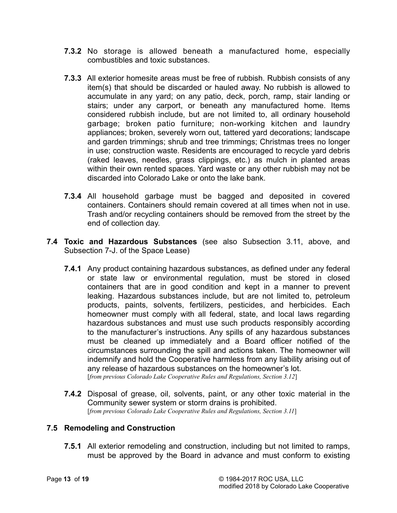- **7.3.2** No storage is allowed beneath a manufactured home, especially combustibles and toxic substances.
- **7.3.3** All exterior homesite areas must be free of rubbish. Rubbish consists of any item(s) that should be discarded or hauled away. No rubbish is allowed to accumulate in any yard; on any patio, deck, porch, ramp, stair landing or stairs; under any carport, or beneath any manufactured home. Items considered rubbish include, but are not limited to, all ordinary household garbage; broken patio furniture; non-working kitchen and laundry appliances; broken, severely worn out, tattered yard decorations; landscape and garden trimmings; shrub and tree trimmings; Christmas trees no longer in use; construction waste. Residents are encouraged to recycle yard debris (raked leaves, needles, grass clippings, etc.) as mulch in planted areas within their own rented spaces. Yard waste or any other rubbish may not be discarded into Colorado Lake or onto the lake bank.
- **7.3.4** All household garbage must be bagged and deposited in covered containers. Containers should remain covered at all times when not in use. Trash and/or recycling containers should be removed from the street by the end of collection day.
- **7.4 Toxic and Hazardous Substances** (see also Subsection 3.11, above, and Subsection 7-J. of the Space Lease)
	- **7.4.1** Any product containing hazardous substances, as defined under any federal or state law or environmental regulation, must be stored in closed containers that are in good condition and kept in a manner to prevent leaking. Hazardous substances include, but are not limited to, petroleum products, paints, solvents, fertilizers, pesticides, and herbicides. Each homeowner must comply with all federal, state, and local laws regarding hazardous substances and must use such products responsibly according to the manufacturer's instructions. Any spills of any hazardous substances must be cleaned up immediately and a Board officer notified of the circumstances surrounding the spill and actions taken. The homeowner will indemnify and hold the Cooperative harmless from any liability arising out of any release of hazardous substances on the homeowner's lot. [*from previous Colorado Lake Cooperative Rules and Regulations, Section 3.12*]
	- **7.4.2** Disposal of grease, oil, solvents, paint, or any other toxic material in the Community sewer system or storm drains is prohibited. [*from previous Colorado Lake Cooperative Rules and Regulations, Section 3.11*]

#### **7.5 Remodeling and Construction**

**7.5.1** All exterior remodeling and construction, including but not limited to ramps, must be approved by the Board in advance and must conform to existing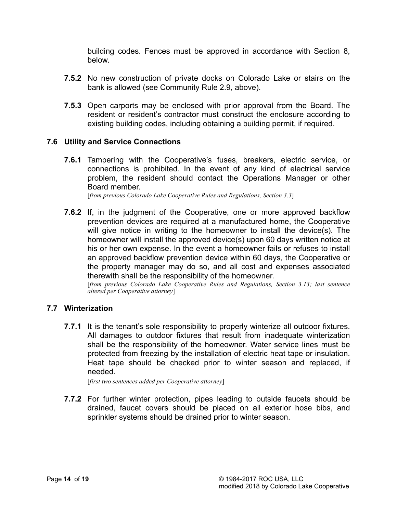building codes. Fences must be approved in accordance with Section 8, below.

- **7.5.2** No new construction of private docks on Colorado Lake or stairs on the bank is allowed (see Community Rule 2.9, above).
- **7.5.3** Open carports may be enclosed with prior approval from the Board. The resident or resident's contractor must construct the enclosure according to existing building codes, including obtaining a building permit, if required.

#### **7.6 Utility and Service Connections**

**7.6.1** Tampering with the Cooperative's fuses, breakers, electric service, or connections is prohibited. In the event of any kind of electrical service problem, the resident should contact the Operations Manager or other Board member.

[*from previous Colorado Lake Cooperative Rules and Regulations, Section 3.3*]

**7.6.2** If, in the judgment of the Cooperative, one or more approved backflow prevention devices are required at a manufactured home, the Cooperative will give notice in writing to the homeowner to install the device(s). The homeowner will install the approved device(s) upon 60 days written notice at his or her own expense. In the event a homeowner fails or refuses to install an approved backflow prevention device within 60 days, the Cooperative or the property manager may do so, and all cost and expenses associated therewith shall be the responsibility of the homeowner.

 [*from previous Colorado Lake Cooperative Rules and Regulations, Section 3.13; last sentence altered per Cooperative attorney*]

#### **7.7 Winterization**

**7.7.1** It is the tenant's sole responsibility to properly winterize all outdoor fixtures. All damages to outdoor fixtures that result from inadequate winterization shall be the responsibility of the homeowner. Water service lines must be protected from freezing by the installation of electric heat tape or insulation. Heat tape should be checked prior to winter season and replaced, if needed.

[*first two sentences added per Cooperative attorney*]

**7.7.2** For further winter protection, pipes leading to outside faucets should be drained, faucet covers should be placed on all exterior hose bibs, and sprinkler systems should be drained prior to winter season.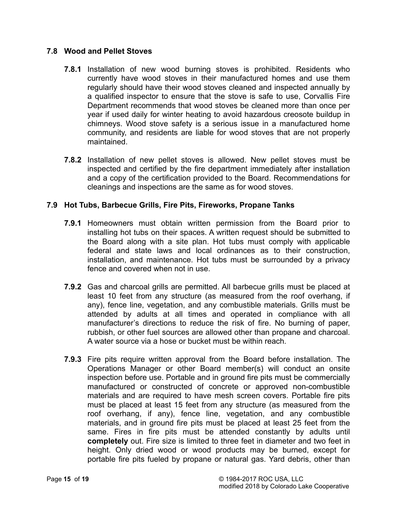#### **7.8 Wood and Pellet Stoves**

- **7.8.1** Installation of new wood burning stoves is prohibited. Residents who currently have wood stoves in their manufactured homes and use them regularly should have their wood stoves cleaned and inspected annually by a qualified inspector to ensure that the stove is safe to use, Corvallis Fire Department recommends that wood stoves be cleaned more than once per year if used daily for winter heating to avoid hazardous creosote buildup in chimneys. Wood stove safety is a serious issue in a manufactured home community, and residents are liable for wood stoves that are not properly maintained.
- **7.8.2** Installation of new pellet stoves is allowed. New pellet stoves must be inspected and certified by the fire department immediately after installation and a copy of the certification provided to the Board. Recommendations for cleanings and inspections are the same as for wood stoves.

#### **7.9 Hot Tubs, Barbecue Grills, Fire Pits, Fireworks, Propane Tanks**

- **7.9.1** Homeowners must obtain written permission from the Board prior to installing hot tubs on their spaces. A written request should be submitted to the Board along with a site plan. Hot tubs must comply with applicable federal and state laws and local ordinances as to their construction, installation, and maintenance. Hot tubs must be surrounded by a privacy fence and covered when not in use.
- **7.9.2** Gas and charcoal grills are permitted. All barbecue grills must be placed at least 10 feet from any structure (as measured from the roof overhang, if any), fence line, vegetation, and any combustible materials. Grills must be attended by adults at all times and operated in compliance with all manufacturer's directions to reduce the risk of fire. No burning of paper, rubbish, or other fuel sources are allowed other than propane and charcoal. A water source via a hose or bucket must be within reach.
- **7.9.3** Fire pits require written approval from the Board before installation. The Operations Manager or other Board member(s) will conduct an onsite inspection before use. Portable and in ground fire pits must be commercially manufactured or constructed of concrete or approved non-combustible materials and are required to have mesh screen covers. Portable fire pits must be placed at least 15 feet from any structure (as measured from the roof overhang, if any), fence line, vegetation, and any combustible materials, and in ground fire pits must be placed at least 25 feet from the same. Fires in fire pits must be attended constantly by adults until **completely** out. Fire size is limited to three feet in diameter and two feet in height. Only dried wood or wood products may be burned, except for portable fire pits fueled by propane or natural gas. Yard debris, other than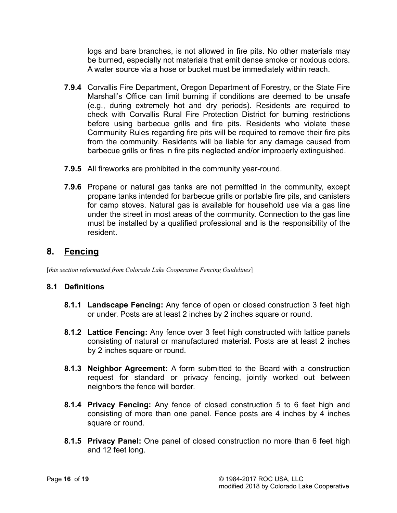logs and bare branches, is not allowed in fire pits. No other materials may be burned, especially not materials that emit dense smoke or noxious odors. A water source via a hose or bucket must be immediately within reach.

- **7.9.4** Corvallis Fire Department, Oregon Department of Forestry, or the State Fire Marshall's Office can limit burning if conditions are deemed to be unsafe (e.g., during extremely hot and dry periods). Residents are required to check with Corvallis Rural Fire Protection District for burning restrictions before using barbecue grills and fire pits. Residents who violate these Community Rules regarding fire pits will be required to remove their fire pits from the community. Residents will be liable for any damage caused from barbecue grills or fires in fire pits neglected and/or improperly extinguished.
- **7.9.5** All fireworks are prohibited in the community year-round.
- **7.9.6** Propane or natural gas tanks are not permitted in the community, except propane tanks intended for barbecue grills or portable fire pits, and canisters for camp stoves. Natural gas is available for household use via a gas line under the street in most areas of the community. Connection to the gas line must be installed by a qualified professional and is the responsibility of the resident.

# **8. Fencing**

[*this section reformatted from Colorado Lake Cooperative Fencing Guidelines*]

### **8.1 Definitions**

- **8.1.1 Landscape Fencing:** Any fence of open or closed construction 3 feet high or under. Posts are at least 2 inches by 2 inches square or round.
- **8.1.2 Lattice Fencing:** Any fence over 3 feet high constructed with lattice panels consisting of natural or manufactured material. Posts are at least 2 inches by 2 inches square or round.
- **8.1.3 Neighbor Agreement:** A form submitted to the Board with a construction request for standard or privacy fencing, jointly worked out between neighbors the fence will border.
- **8.1.4 Privacy Fencing:** Any fence of closed construction 5 to 6 feet high and consisting of more than one panel. Fence posts are 4 inches by 4 inches square or round.
- **8.1.5 Privacy Panel:** One panel of closed construction no more than 6 feet high and 12 feet long.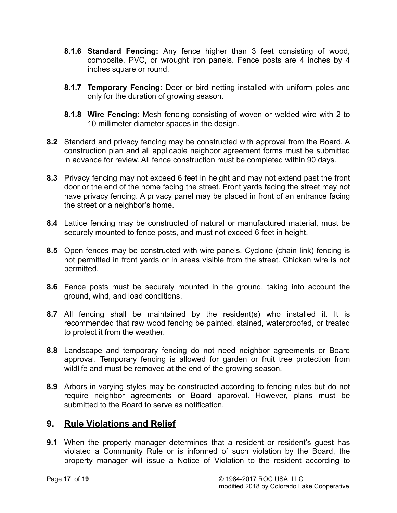- **8.1.6 Standard Fencing:** Any fence higher than 3 feet consisting of wood, composite, PVC, or wrought iron panels. Fence posts are 4 inches by 4 inches square or round.
- **8.1.7 Temporary Fencing:** Deer or bird netting installed with uniform poles and only for the duration of growing season.
- **8.1.8 Wire Fencing:** Mesh fencing consisting of woven or welded wire with 2 to 10 millimeter diameter spaces in the design.
- **8.2** Standard and privacy fencing may be constructed with approval from the Board. A construction plan and all applicable neighbor agreement forms must be submitted in advance for review. All fence construction must be completed within 90 days.
- **8.3** Privacy fencing may not exceed 6 feet in height and may not extend past the front door or the end of the home facing the street. Front yards facing the street may not have privacy fencing. A privacy panel may be placed in front of an entrance facing the street or a neighbor's home.
- **8.4** Lattice fencing may be constructed of natural or manufactured material, must be securely mounted to fence posts, and must not exceed 6 feet in height.
- **8.5** Open fences may be constructed with wire panels. Cyclone (chain link) fencing is not permitted in front yards or in areas visible from the street. Chicken wire is not permitted.
- **8.6** Fence posts must be securely mounted in the ground, taking into account the ground, wind, and load conditions.
- **8.7** All fencing shall be maintained by the resident(s) who installed it. It is recommended that raw wood fencing be painted, stained, waterproofed, or treated to protect it from the weather.
- **8.8** Landscape and temporary fencing do not need neighbor agreements or Board approval. Temporary fencing is allowed for garden or fruit tree protection from wildlife and must be removed at the end of the growing season.
- **8.9** Arbors in varying styles may be constructed according to fencing rules but do not require neighbor agreements or Board approval. However, plans must be submitted to the Board to serve as notification.

# **9. Rule Violations and Relief**

**9.1** When the property manager determines that a resident or resident's guest has violated a Community Rule or is informed of such violation by the Board, the property manager will issue a Notice of Violation to the resident according to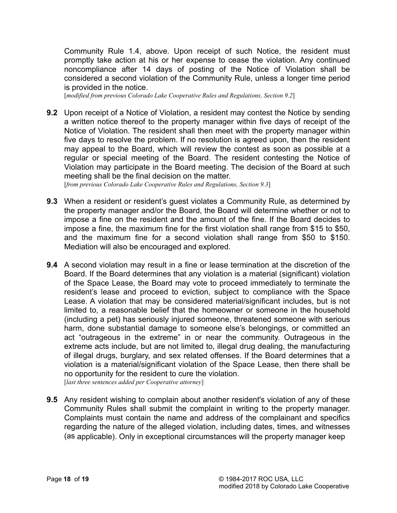Community Rule 1.4, above. Upon receipt of such Notice, the resident must promptly take action at his or her expense to cease the violation. Any continued noncompliance after 14 days of posting of the Notice of Violation shall be considered a second violation of the Community Rule, unless a longer time period is provided in the notice.

[*modified from previous Colorado Lake Cooperative Rules and Regulations, Section 9.2*]

**9.2** Upon receipt of a Notice of Violation, a resident may contest the Notice by sending a written notice thereof to the property manager within five days of receipt of the Notice of Violation. The resident shall then meet with the property manager within five days to resolve the problem. If no resolution is agreed upon, then the resident may appeal to the Board, which will review the contest as soon as possible at a regular or special meeting of the Board. The resident contesting the Notice of Violation may participate in the Board meeting. The decision of the Board at such meeting shall be the final decision on the matter.

[*from previous Colorado Lake Cooperative Rules and Regulations, Section 9.3*]

- **9.3** When a resident or resident's guest violates a Community Rule, as determined by the property manager and/or the Board, the Board will determine whether or not to impose a fine on the resident and the amount of the fine. If the Board decides to impose a fine, the maximum fine for the first violation shall range from \$15 to \$50, and the maximum fine for a second violation shall range from \$50 to \$150. Mediation will also be encouraged and explored.
- **9.4** A second violation may result in a fine or lease termination at the discretion of the Board. If the Board determines that any violation is a material (significant) violation of the Space Lease, the Board may vote to proceed immediately to terminate the resident's lease and proceed to eviction, subject to compliance with the Space Lease. A violation that may be considered material/significant includes, but is not limited to, a reasonable belief that the homeowner or someone in the household (including a pet) has seriously injured someone, threatened someone with serious harm, done substantial damage to someone else's belongings, or committed an act "outrageous in the extreme" in or near the community. Outrageous in the extreme acts include, but are not limited to, illegal drug dealing, the manufacturing of illegal drugs, burglary, and sex related offenses. If the Board determines that a violation is a material/significant violation of the Space Lease, then there shall be no opportunity for the resident to cure the violation. [*last three sentences added per Cooperative attorney*]
- **9.5** Any resident wishing to complain about another resident's violation of any of these Community Rules shall submit the complaint in writing to the property manager. Complaints must contain the name and address of the complainant and specifics regarding the nature of the alleged violation, including dates, times, and witnesses (as applicable). Only in exceptional circumstances will the property manager keep